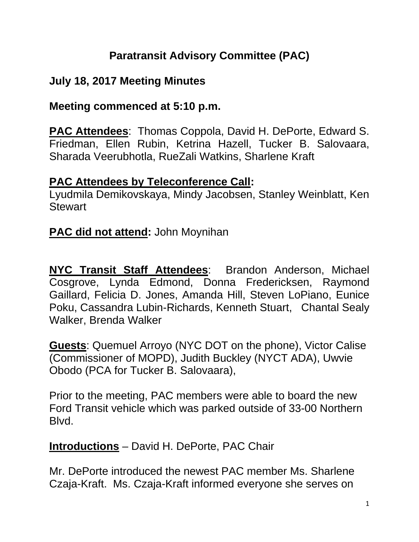## **Paratransit Advisory Committee (PAC)**

## **July 18, 2017 Meeting Minutes**

### **Meeting commenced at 5:10 p.m.**

**PAC Attendees**: Thomas Coppola, David H. DePorte, Edward S. Friedman, Ellen Rubin, Ketrina Hazell, Tucker B. Salovaara, Sharada Veerubhotla, RueZali Watkins, Sharlene Kraft

#### **PAC Attendees by Teleconference Call:**

Lyudmila Demikovskaya, Mindy Jacobsen, Stanley Weinblatt, Ken **Stewart** 

### **PAC did not attend:** John Moynihan

**NYC Transit Staff Attendees**: Brandon Anderson, Michael Cosgrove, Lynda Edmond, Donna Fredericksen, Raymond Gaillard, Felicia D. Jones, Amanda Hill, Steven LoPiano, Eunice Poku, Cassandra Lubin-Richards, Kenneth Stuart, Chantal Sealy Walker, Brenda Walker

**Guests**: Quemuel Arroyo (NYC DOT on the phone), Victor Calise (Commissioner of MOPD), Judith Buckley (NYCT ADA), Uwvie Obodo (PCA for Tucker B. Salovaara),

Prior to the meeting, PAC members were able to board the new Ford Transit vehicle which was parked outside of 33-00 Northern Blvd.

**Introductions** – David H. DePorte, PAC Chair

Mr. DePorte introduced the newest PAC member Ms. Sharlene Czaja-Kraft. Ms. Czaja-Kraft informed everyone she serves on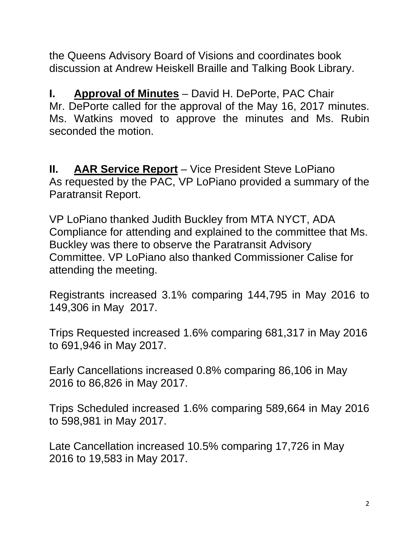the Queens Advisory Board of Visions and coordinates book discussion at Andrew Heiskell Braille and Talking Book Library.

**I. Approval of Minutes** – David H. DePorte, PAC Chair Mr. DePorte called for the approval of the May 16, 2017 minutes. Ms. Watkins moved to approve the minutes and Ms. Rubin seconded the motion.

**II. AAR Service Report** – Vice President Steve LoPiano As requested by the PAC, VP LoPiano provided a summary of the Paratransit Report.

VP LoPiano thanked Judith Buckley from MTA NYCT, ADA Compliance for attending and explained to the committee that Ms. Buckley was there to observe the Paratransit Advisory Committee. VP LoPiano also thanked Commissioner Calise for attending the meeting.

Registrants increased 3.1% comparing 144,795 in May 2016 to 149,306 in May 2017.

Trips Requested increased 1.6% comparing 681,317 in May 2016 to 691,946 in May 2017.

Early Cancellations increased 0.8% comparing 86,106 in May 2016 to 86,826 in May 2017.

Trips Scheduled increased 1.6% comparing 589,664 in May 2016 to 598,981 in May 2017.

Late Cancellation increased 10.5% comparing 17,726 in May 2016 to 19,583 in May 2017.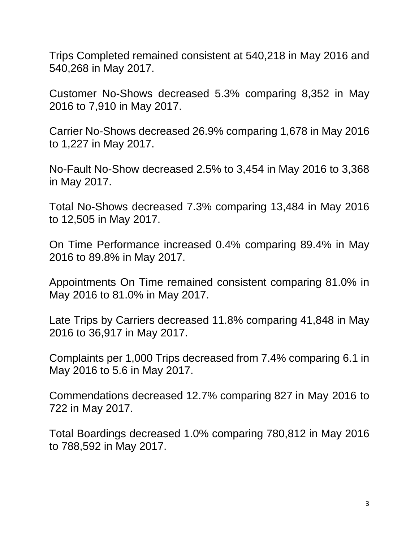Trips Completed remained consistent at 540,218 in May 2016 and 540,268 in May 2017.

Customer No-Shows decreased 5.3% comparing 8,352 in May 2016 to 7,910 in May 2017.

Carrier No-Shows decreased 26.9% comparing 1,678 in May 2016 to 1,227 in May 2017.

No-Fault No-Show decreased 2.5% to 3,454 in May 2016 to 3,368 in May 2017.

Total No-Shows decreased 7.3% comparing 13,484 in May 2016 to 12,505 in May 2017.

On Time Performance increased 0.4% comparing 89.4% in May 2016 to 89.8% in May 2017.

Appointments On Time remained consistent comparing 81.0% in May 2016 to 81.0% in May 2017.

Late Trips by Carriers decreased 11.8% comparing 41,848 in May 2016 to 36,917 in May 2017.

Complaints per 1,000 Trips decreased from 7.4% comparing 6.1 in May 2016 to 5.6 in May 2017.

Commendations decreased 12.7% comparing 827 in May 2016 to 722 in May 2017.

Total Boardings decreased 1.0% comparing 780,812 in May 2016 to 788,592 in May 2017.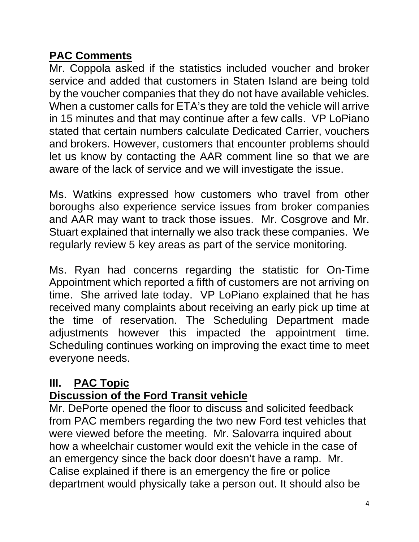## **PAC Comments**

Mr. Coppola asked if the statistics included voucher and broker service and added that customers in Staten Island are being told by the voucher companies that they do not have available vehicles. When a customer calls for ETA's they are told the vehicle will arrive in 15 minutes and that may continue after a few calls. VP LoPiano stated that certain numbers calculate Dedicated Carrier, vouchers and brokers. However, customers that encounter problems should let us know by contacting the AAR comment line so that we are aware of the lack of service and we will investigate the issue.

Ms. Watkins expressed how customers who travel from other boroughs also experience service issues from broker companies and AAR may want to track those issues. Mr. Cosgrove and Mr. Stuart explained that internally we also track these companies. We regularly review 5 key areas as part of the service monitoring.

Ms. Ryan had concerns regarding the statistic for On-Time Appointment which reported a fifth of customers are not arriving on time. She arrived late today. VP LoPiano explained that he has received many complaints about receiving an early pick up time at the time of reservation. The Scheduling Department made adjustments however this impacted the appointment time. Scheduling continues working on improving the exact time to meet everyone needs.

#### **III. PAC Topic Discussion of the Ford Transit vehicle**

Mr. DePorte opened the floor to discuss and solicited feedback from PAC members regarding the two new Ford test vehicles that were viewed before the meeting. Mr. Salovarra inquired about how a wheelchair customer would exit the vehicle in the case of an emergency since the back door doesn't have a ramp. Mr. Calise explained if there is an emergency the fire or police department would physically take a person out. It should also be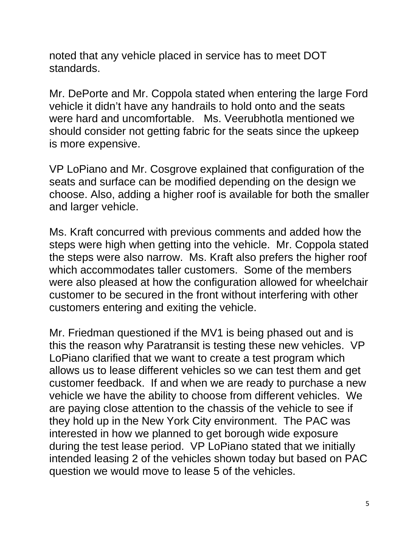noted that any vehicle placed in service has to meet DOT standards.

Mr. DePorte and Mr. Coppola stated when entering the large Ford vehicle it didn't have any handrails to hold onto and the seats were hard and uncomfortable. Ms. Veerubhotla mentioned we should consider not getting fabric for the seats since the upkeep is more expensive.

VP LoPiano and Mr. Cosgrove explained that configuration of the seats and surface can be modified depending on the design we choose. Also, adding a higher roof is available for both the smaller and larger vehicle.

Ms. Kraft concurred with previous comments and added how the steps were high when getting into the vehicle. Mr. Coppola stated the steps were also narrow. Ms. Kraft also prefers the higher roof which accommodates taller customers. Some of the members were also pleased at how the configuration allowed for wheelchair customer to be secured in the front without interfering with other customers entering and exiting the vehicle.

Mr. Friedman questioned if the MV1 is being phased out and is this the reason why Paratransit is testing these new vehicles. VP LoPiano clarified that we want to create a test program which allows us to lease different vehicles so we can test them and get customer feedback. If and when we are ready to purchase a new vehicle we have the ability to choose from different vehicles. We are paying close attention to the chassis of the vehicle to see if they hold up in the New York City environment. The PAC was interested in how we planned to get borough wide exposure during the test lease period. VP LoPiano stated that we initially intended leasing 2 of the vehicles shown today but based on PAC question we would move to lease 5 of the vehicles.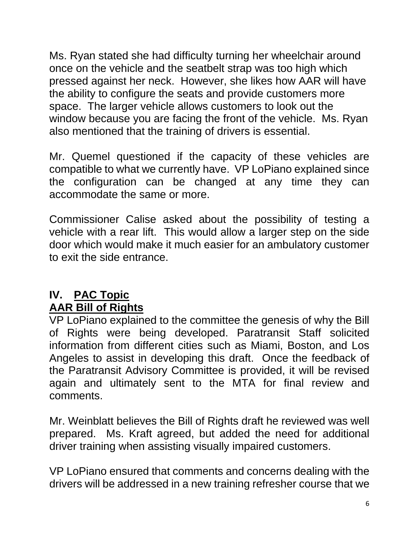Ms. Ryan stated she had difficulty turning her wheelchair around once on the vehicle and the seatbelt strap was too high which pressed against her neck. However, she likes how AAR will have the ability to configure the seats and provide customers more space. The larger vehicle allows customers to look out the window because you are facing the front of the vehicle. Ms. Ryan also mentioned that the training of drivers is essential.

Mr. Quemel questioned if the capacity of these vehicles are compatible to what we currently have. VP LoPiano explained since the configuration can be changed at any time they can accommodate the same or more.

Commissioner Calise asked about the possibility of testing a vehicle with a rear lift. This would allow a larger step on the side door which would make it much easier for an ambulatory customer to exit the side entrance.

## **IV. PAC Topic AAR Bill of Rights**

VP LoPiano explained to the committee the genesis of why the Bill of Rights were being developed. Paratransit Staff solicited information from different cities such as Miami, Boston, and Los Angeles to assist in developing this draft. Once the feedback of the Paratransit Advisory Committee is provided, it will be revised again and ultimately sent to the MTA for final review and comments.

Mr. Weinblatt believes the Bill of Rights draft he reviewed was well prepared. Ms. Kraft agreed, but added the need for additional driver training when assisting visually impaired customers.

VP LoPiano ensured that comments and concerns dealing with the drivers will be addressed in a new training refresher course that we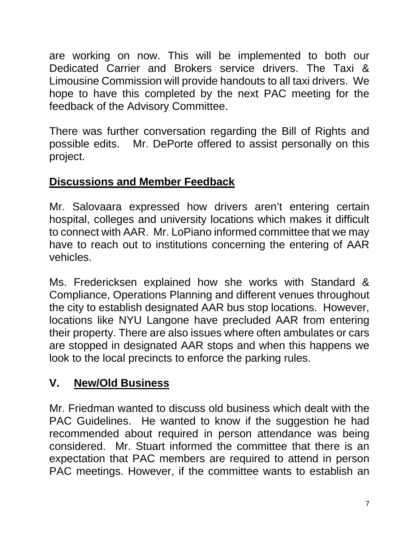are working on now. This will be implemented to both our Dedicated Carrier and Brokers service drivers. The Taxi & Limousine Commission will provide handouts to all taxi drivers. We hope to have this completed by the next PAC meeting for the feedback of the Advisory Committee.

There was further conversation regarding the Bill of Rights and possible edits. Mr. DePorte offered to assist personally on this project.

# **Discussions and Member Feedback**

Mr. Salovaara expressed how drivers aren't entering certain hospital, colleges and university locations which makes it difficult to connect with AAR. Mr. LoPiano informed committee that we may have to reach out to institutions concerning the entering of AAR vehicles.

Ms. Fredericksen explained how she works with Standard & Compliance, Operations Planning and different venues throughout the city to establish designated AAR bus stop locations. However, locations like NYU Langone have precluded AAR from entering their property. There are also issues where often ambulates or cars are stopped in designated AAR stops and when this happens we look to the local precincts to enforce the parking rules.

# **V. New/Old Business**

Mr. Friedman wanted to discuss old business which dealt with the PAC Guidelines. He wanted to know if the suggestion he had recommended about required in person attendance was being considered. Mr. Stuart informed the committee that there is an expectation that PAC members are required to attend in person PAC meetings. However, if the committee wants to establish an